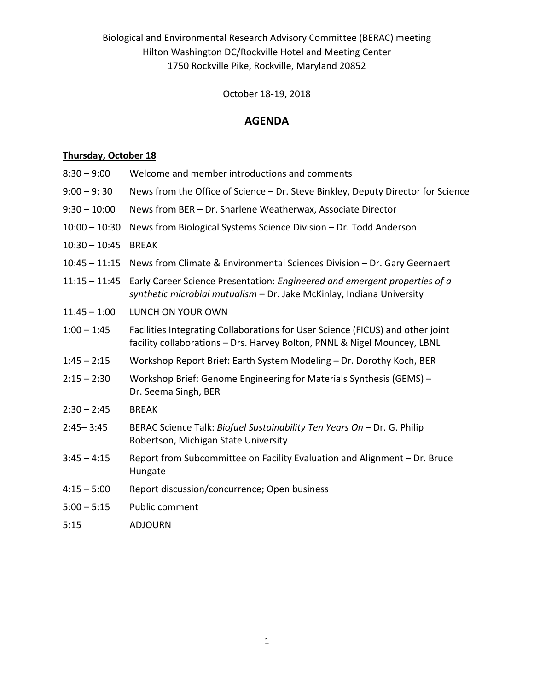Biological and Environmental Research Advisory Committee (BERAC) meeting Hilton Washington DC/Rockville Hotel and Meeting Center 1750 Rockville Pike, Rockville, Maryland 20852

October 18-19, 2018

## **AGENDA**

## **Thursday, October 18**

- 8:30 9:00 Welcome and member introductions and comments
- 9:00 9: 30 News from the Office of Science Dr. Steve Binkley, Deputy Director for Science
- 9:30 10:00 News from BER Dr. Sharlene Weatherwax, Associate Director
- 10:00 10:30 News from Biological Systems Science Division Dr. Todd Anderson
- 10:30 10:45 BREAK
- 10:45 11:15 News from Climate & Environmental Sciences Division Dr. Gary Geernaert
- 11:15 11:45 Early Career Science Presentation: *Engineered and emergent properties of a synthetic microbial mutualism* – Dr. Jake McKinlay, Indiana University
- 11:45 1:00 LUNCH ON YOUR OWN
- 1:00 1:45 Facilities Integrating Collaborations for User Science (FICUS) and other joint facility collaborations – Drs. Harvey Bolton, PNNL & Nigel Mouncey, LBNL
- 1:45 2:15 Workshop Report Brief: Earth System Modeling Dr. Dorothy Koch, BER
- 2:15 2:30 Workshop Brief: Genome Engineering for Materials Synthesis (GEMS) Dr. Seema Singh, BER
- 2:30 2:45 BREAK
- 2:45– 3:45 BERAC Science Talk: *Biofuel Sustainability Ten Years On* Dr. G. Philip Robertson, Michigan State University
- 3:45 4:15 Report from Subcommittee on Facility Evaluation and Alignment Dr. Bruce Hungate
- 4:15 5:00 Report discussion/concurrence; Open business
- 5:00 5:15 Public comment
- 5:15 ADJOURN